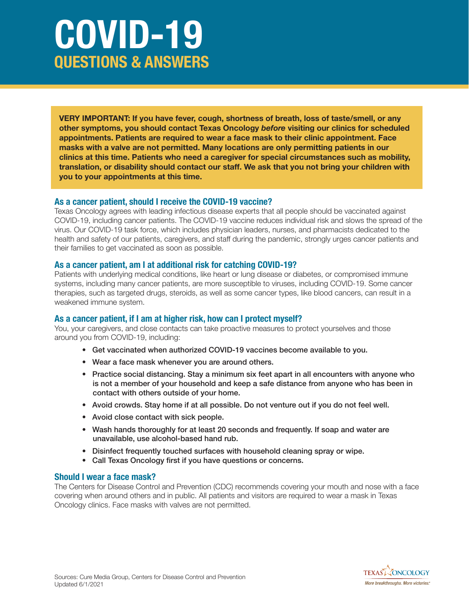# **COVID-19 QUESTIONS & ANSWERS**

**VERY IMPORTANT: If you have fever, cough, shortness of breath, loss of taste/smell, or any other symptoms, you should contact Texas Oncology** *before* **visiting our clinics for scheduled appointments. Patients are required to wear a face mask to their clinic appointment. Face masks with a valve are not permitted. Many locations are only permitting patients in our clinics at this time. Patients who need a caregiver for special circumstances such as mobility, translation, or disability should contact our staff. We ask that you not bring your children with you to your appointments at this time.**

#### **As a cancer patient, should I receive the COVID-19 vaccine?**

Texas Oncology agrees with leading infectious disease experts that all people should be vaccinated against COVID-19, including cancer patients. The COVID-19 vaccine reduces individual risk and slows the spread of the virus. Our COVID-19 task force, which includes physician leaders, nurses, and pharmacists dedicated to the health and safety of our patients, caregivers, and staff during the pandemic, strongly urges cancer patients and their families to get vaccinated as soon as possible.

## **As a cancer patient, am I at additional risk for catching COVID-19?**

Patients with underlying medical conditions, like heart or lung disease or diabetes, or compromised immune systems, including many cancer patients, are more susceptible to viruses, including COVID-19. Some cancer therapies, such as targeted drugs, steroids, as well as some cancer types, like blood cancers, can result in a weakened immune system.

## **As a cancer patient, if I am at higher risk, how can I protect myself?**

You, your caregivers, and close contacts can take proactive measures to protect yourselves and those around you from COVID-19, including:

- Get vaccinated when authorized COVID-19 vaccines become available to you.
- Wear a face mask whenever you are around others.
- Practice social distancing. Stay a minimum six feet apart in all encounters with anyone who is not a member of your household and keep a safe distance from anyone who has been in contact with others outside of your home.
- Avoid crowds. Stay home if at all possible. Do not venture out if you do not feel well.
- Avoid close contact with sick people.
- Wash hands thoroughly for at least 20 seconds and frequently. If soap and water are unavailable, use alcohol-based hand rub.
- Disinfect frequently touched surfaces with household cleaning spray or wipe.
- Call Texas Oncology first if you have questions or concerns.

## **Should I wear a face mask?**

The Centers for Disease Control and Prevention (CDC) recommends covering your mouth and nose with a face covering when around others and in public. All patients and visitors are required to wear a mask in Texas Oncology clinics. Face masks with valves are not permitted.